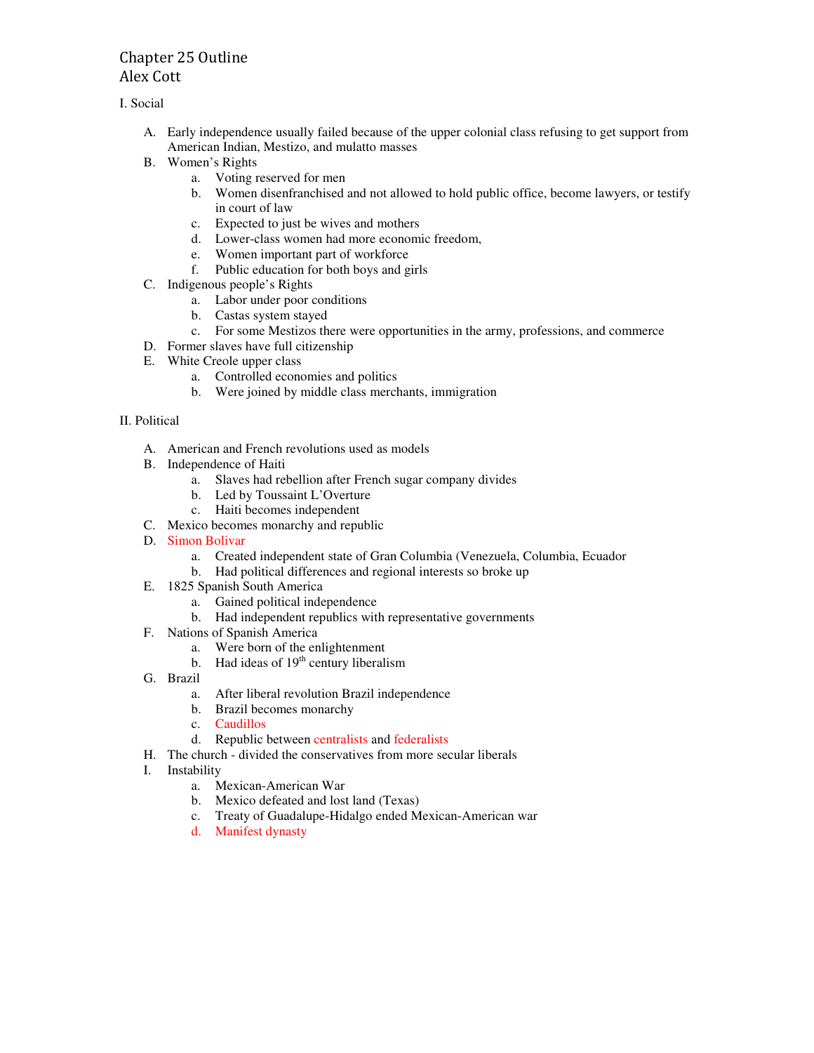# Chapter 25 Outline Alex Cott

I. Social

- A. Early independence usually failed because of the upper colonial class refusing to get support from American Indian, Mestizo, and mulatto masses
- B. Women's Rights
	- a. Voting reserved for men
	- b. Women disenfranchised and not allowed to hold public office, become lawyers, or testify in court of law
	- c. Expected to just be wives and mothers
	- d. Lower-class women had more economic freedom,
	- e. Women important part of workforce
	- f. Public education for both boys and girls
- C. Indigenous people's Rights
	- a. Labor under poor conditions
	- b. Castas system stayed
	- c. For some Mestizos there were opportunities in the army, professions, and commerce
- D. Former slaves have full citizenship
- E. White Creole upper class
	- a. Controlled economies and politics
	- b. Were joined by middle class merchants, immigration

## II. Political

- A. American and French revolutions used as models
- B. Independence of Haiti
	- a. Slaves had rebellion after French sugar company divides
	- b. Led by Toussaint L'Overture
	- c. Haiti becomes independent
- C. Mexico becomes monarchy and republic
- D. Simon Bolivar
	- a. Created independent state of Gran Columbia (Venezuela, Columbia, Ecuador
	- b. Had political differences and regional interests so broke up
- E. 1825 Spanish South America
	- a. Gained political independence
	- b. Had independent republics with representative governments
- F. Nations of Spanish America
	- a. Were born of the enlightenment
	- b. Had ideas of  $19<sup>th</sup>$  century liberalism
- G. Brazil
	- a. After liberal revolution Brazil independence
	- b. Brazil becomes monarchy
	- c. Caudillos
	- d. Republic between centralists and federalists
- H. The church divided the conservatives from more secular liberals
- I. Instability
	- a. Mexican-American War
	- b. Mexico defeated and lost land (Texas)
	- c. Treaty of Guadalupe-Hidalgo ended Mexican-American war
	- d. Manifest dynasty